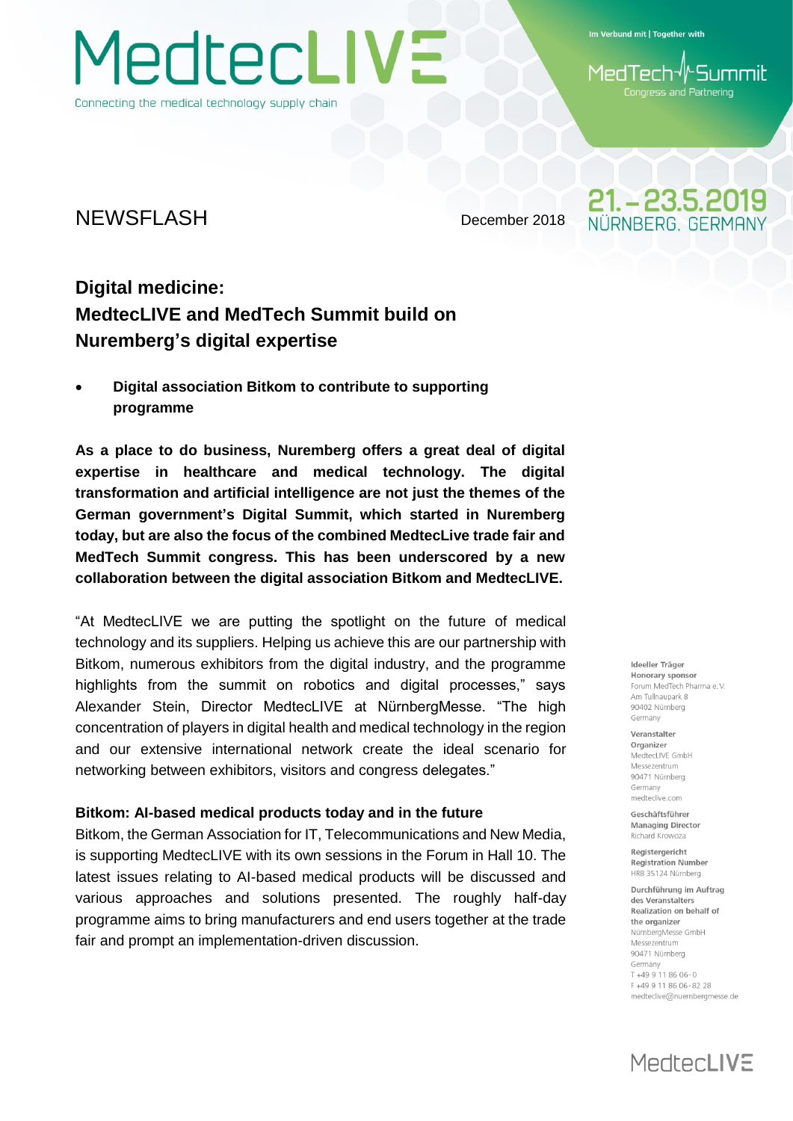MedtecLIVE Connecting the medical technology supply chain

Im Verbund mit | Together with

**Summil** 1edTech Congress and Partnering

21. - 23.5.2019 **IRNBERG GERMAI** 

### NEWSFLASH December 2018

### **Digital medicine: MedtecLIVE and MedTech Summit build on Nuremberg's digital expertise**

 **Digital association Bitkom to contribute to supporting programme**

**As a place to do business, Nuremberg offers a great deal of digital expertise in healthcare and medical technology. The digital transformation and artificial intelligence are not just the themes of the German government's Digital Summit, which started in Nuremberg today, but are also the focus of the combined MedtecLive trade fair and MedTech Summit congress. This has been underscored by a new collaboration between the digital association Bitkom and MedtecLIVE.**

"At MedtecLIVE we are putting the spotlight on the future of medical technology and its suppliers. Helping us achieve this are our partnership with Bitkom, numerous exhibitors from the digital industry, and the programme highlights from the summit on robotics and digital processes," says Alexander Stein, Director MedtecLIVE at NürnbergMesse. "The high concentration of players in digital health and medical technology in the region and our extensive international network create the ideal scenario for networking between exhibitors, visitors and congress delegates."

#### **Bitkom: AI-based medical products today and in the future**

Bitkom, the German Association for IT, Telecommunications and New Media, is supporting MedtecLIVE with its own sessions in the Forum in Hall 10. The latest issues relating to AI-based medical products will be discussed and various approaches and solutions presented. The roughly half-day programme aims to bring manufacturers and end users together at the trade fair and prompt an implementation-driven discussion.

Ideeller Träger Honorary sponsor Forum MedTech Pharma e V Am Tullnaunark 8 90402 Nürnberg Germany

Veranstalter Organizer MedtecLIVE GmbH Messezentrum 90471 Nürnberg Germany medteclive.com

Geschäftsführer **Managing Director** Richard Krowoza

Registergericht **Registration Number** HRB 35124 Nürnberg

Durchführung im Auftrag des Veranstalters Realization on behalf of the organizer NürnbergMesse GmbH Messezentrum 90471 Nürnberg Germany T+49 9 11 86 06-0 F+49 9 11 86 06-82 28 medteclive@nuernbergmesse.de

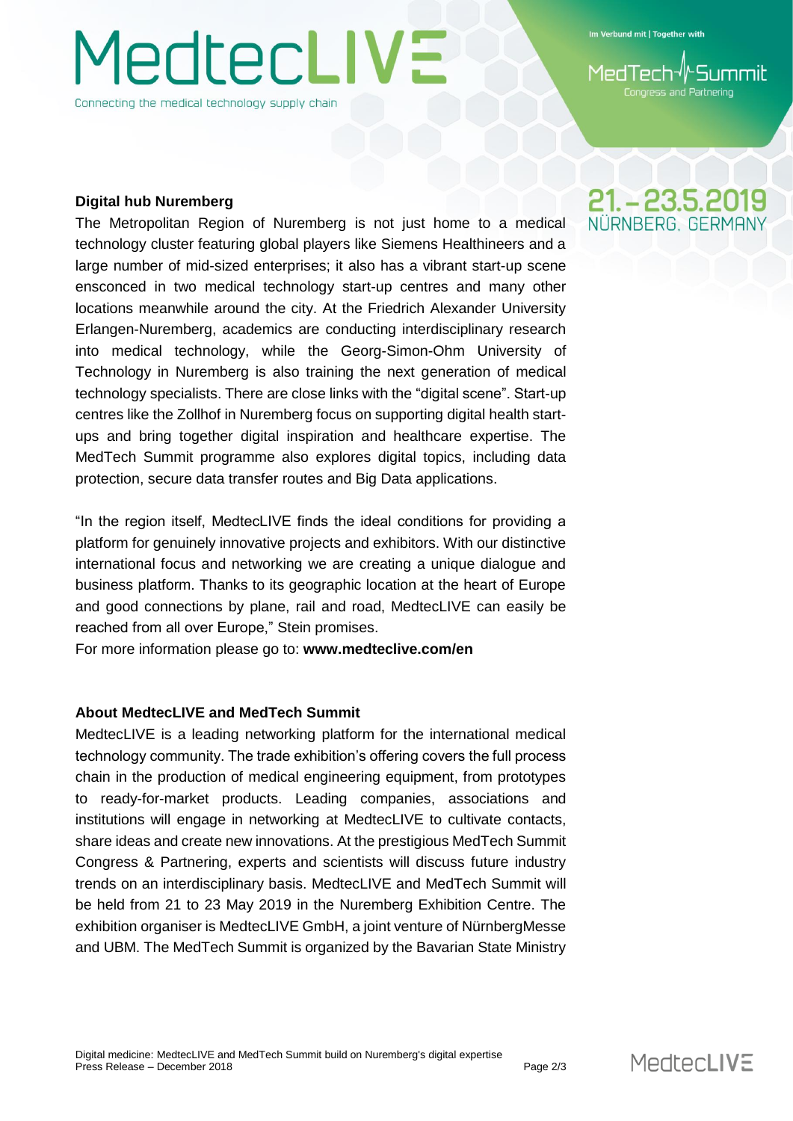# **/ledtecLIVE** Connecting the medical technology supply chain

Im Verbund mit | Together with

and Partnering

#### **Digital hub Nuremberg**

The Metropolitan Region of Nuremberg is not just home to a medical technology cluster featuring global players like Siemens Healthineers and a large number of mid-sized enterprises; it also has a vibrant start-up scene ensconced in two medical technology start-up centres and many other locations meanwhile around the city. At the Friedrich Alexander University Erlangen-Nuremberg, academics are conducting interdisciplinary research into medical technology, while the Georg-Simon-Ohm University of Technology in Nuremberg is also training the next generation of medical technology specialists. There are close links with the "digital scene". Start-up centres like the Zollhof in Nuremberg focus on supporting digital health startups and bring together digital inspiration and healthcare expertise. The MedTech Summit programme also explores digital topics, including data protection, secure data transfer routes and Big Data applications.

"In the region itself, MedtecLIVE finds the ideal conditions for providing a platform for genuinely innovative projects and exhibitors. With our distinctive international focus and networking we are creating a unique dialogue and business platform. Thanks to its geographic location at the heart of Europe and good connections by plane, rail and road, MedtecLIVE can easily be reached from all over Europe," Stein promises.

For more information please go to: **www.medteclive.com/en**

#### **About MedtecLIVE and MedTech Summit**

MedtecLIVE is a leading networking platform for the international medical technology community. The trade exhibition's offering covers the full process chain in the production of medical engineering equipment, from prototypes to ready-for-market products. Leading companies, associations and institutions will engage in networking at MedtecLIVE to cultivate contacts, share ideas and create new innovations. At the prestigious MedTech Summit Congress & Partnering, experts and scientists will discuss future industry trends on an interdisciplinary basis. MedtecLIVE and MedTech Summit will be held from 21 to 23 May 2019 in the Nuremberg Exhibition Centre. The exhibition organiser is MedtecLIVE GmbH, a joint venture of NürnbergMesse and UBM. The MedTech Summit is organized by the Bavarian State Ministry

## 21. - 23.5.2019 JÜRNBERG GERMAI